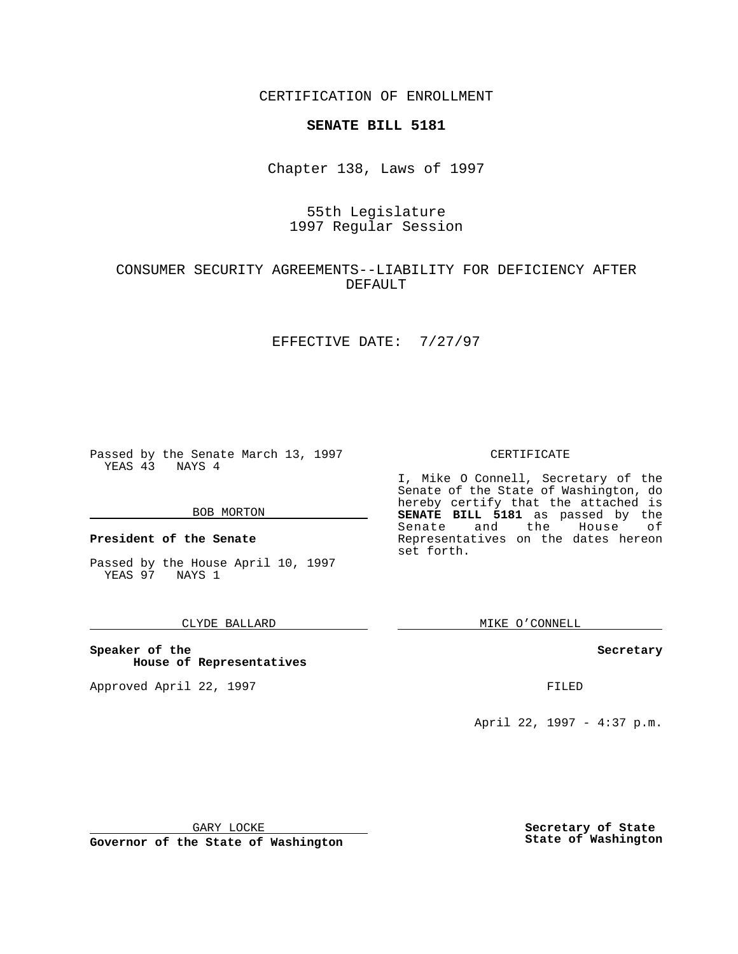CERTIFICATION OF ENROLLMENT

# **SENATE BILL 5181**

Chapter 138, Laws of 1997

# 55th Legislature 1997 Regular Session

## CONSUMER SECURITY AGREEMENTS--LIABILITY FOR DEFICIENCY AFTER DEFAULT

### EFFECTIVE DATE: 7/27/97

Passed by the Senate March 13, 1997 YEAS 43 NAYS 4

#### BOB MORTON

**President of the Senate**

Passed by the House April 10, 1997 YEAS 97 NAYS 1

### CLYDE BALLARD

**Speaker of the House of Representatives**

Approved April 22, 1997 **FILED** 

### CERTIFICATE

I, Mike O Connell, Secretary of the Senate of the State of Washington, do hereby certify that the attached is **SENATE BILL 5181** as passed by the Senate and the House of Representatives on the dates hereon set forth.

MIKE O'CONNELL

### **Secretary**

April 22, 1997 - 4:37 p.m.

GARY LOCKE

**Governor of the State of Washington**

**Secretary of State State of Washington**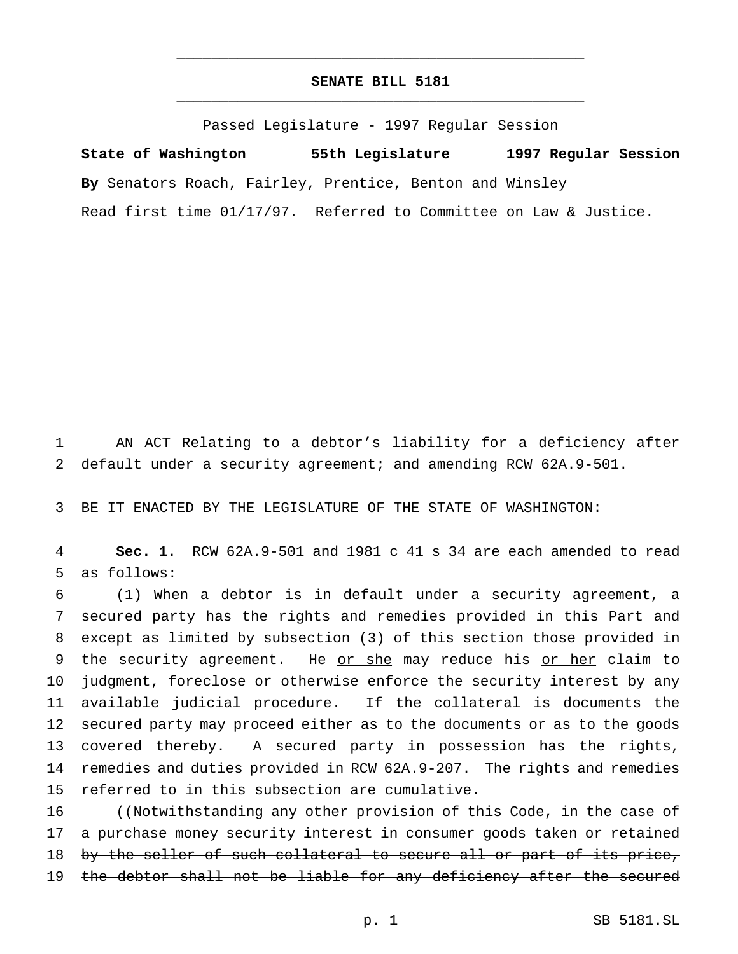## **SENATE BILL 5181** \_\_\_\_\_\_\_\_\_\_\_\_\_\_\_\_\_\_\_\_\_\_\_\_\_\_\_\_\_\_\_\_\_\_\_\_\_\_\_\_\_\_\_\_\_\_\_

\_\_\_\_\_\_\_\_\_\_\_\_\_\_\_\_\_\_\_\_\_\_\_\_\_\_\_\_\_\_\_\_\_\_\_\_\_\_\_\_\_\_\_\_\_\_\_

Passed Legislature - 1997 Regular Session

**State of Washington 55th Legislature 1997 Regular Session By** Senators Roach, Fairley, Prentice, Benton and Winsley Read first time 01/17/97. Referred to Committee on Law & Justice.

1 AN ACT Relating to a debtor's liability for a deficiency after 2 default under a security agreement; and amending RCW 62A.9-501.

3 BE IT ENACTED BY THE LEGISLATURE OF THE STATE OF WASHINGTON:

4 **Sec. 1.** RCW 62A.9-501 and 1981 c 41 s 34 are each amended to read 5 as follows:

 (1) When a debtor is in default under a security agreement, a secured party has the rights and remedies provided in this Part and except as limited by subsection (3) of this section those provided in 9 the security agreement. He or she may reduce his or her claim to judgment, foreclose or otherwise enforce the security interest by any available judicial procedure. If the collateral is documents the secured party may proceed either as to the documents or as to the goods covered thereby. A secured party in possession has the rights, remedies and duties provided in RCW 62A.9-207. The rights and remedies referred to in this subsection are cumulative.

16 ((Notwithstanding any other provision of this Code, in the case of 17 a purchase money security interest in consumer goods taken or retained 18 by the seller of such collateral to secure all or part of its price, 19 the debtor shall not be liable for any deficiency after the secured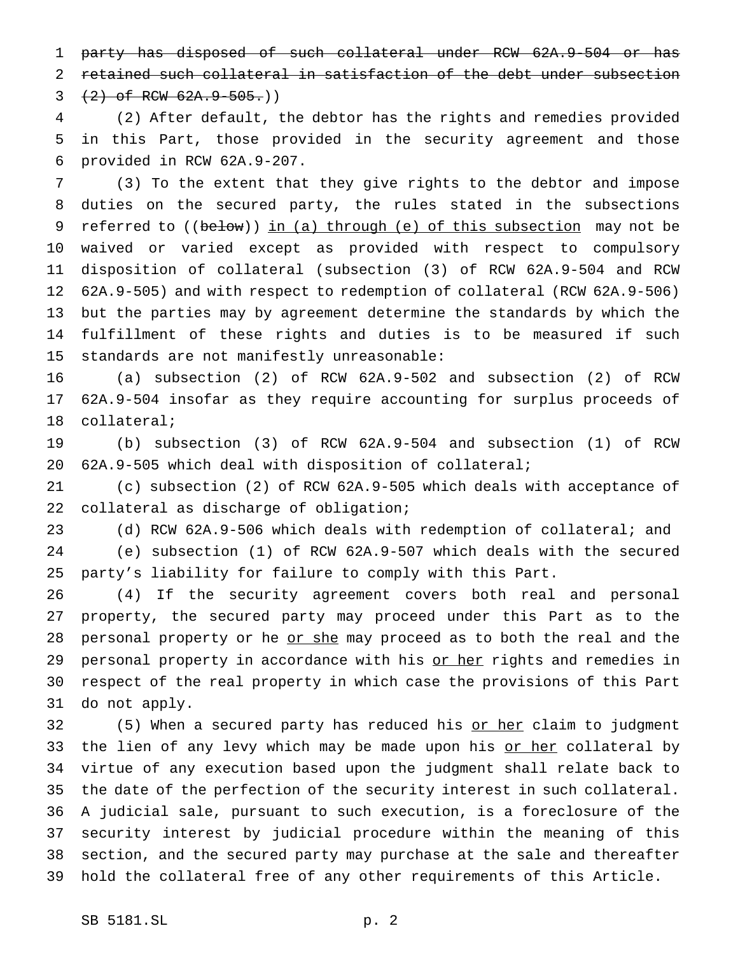party has disposed of such collateral under RCW 62A.9-504 or has retained such collateral in satisfaction of the debt under subsection  $3 + 2$  of RCW  $62A.9 - 505.$ )

 (2) After default, the debtor has the rights and remedies provided in this Part, those provided in the security agreement and those provided in RCW 62A.9-207.

 (3) To the extent that they give rights to the debtor and impose duties on the secured party, the rules stated in the subsections 9 referred to ((below)) in (a) through (e) of this subsection may not be waived or varied except as provided with respect to compulsory disposition of collateral (subsection (3) of RCW 62A.9-504 and RCW 62A.9-505) and with respect to redemption of collateral (RCW 62A.9-506) but the parties may by agreement determine the standards by which the fulfillment of these rights and duties is to be measured if such standards are not manifestly unreasonable:

 (a) subsection (2) of RCW 62A.9-502 and subsection (2) of RCW 62A.9-504 insofar as they require accounting for surplus proceeds of collateral;

 (b) subsection (3) of RCW 62A.9-504 and subsection (1) of RCW 62A.9-505 which deal with disposition of collateral;

 (c) subsection (2) of RCW 62A.9-505 which deals with acceptance of collateral as discharge of obligation;

 (d) RCW 62A.9-506 which deals with redemption of collateral; and (e) subsection (1) of RCW 62A.9-507 which deals with the secured party's liability for failure to comply with this Part.

 (4) If the security agreement covers both real and personal property, the secured party may proceed under this Part as to the 28 personal property or he or she may proceed as to both the real and the 29 personal property in accordance with his or her rights and remedies in respect of the real property in which case the provisions of this Part do not apply.

32 (5) When a secured party has reduced his or her claim to judgment 33 the lien of any levy which may be made upon his <u>or her</u> collateral by virtue of any execution based upon the judgment shall relate back to the date of the perfection of the security interest in such collateral. A judicial sale, pursuant to such execution, is a foreclosure of the security interest by judicial procedure within the meaning of this section, and the secured party may purchase at the sale and thereafter hold the collateral free of any other requirements of this Article.